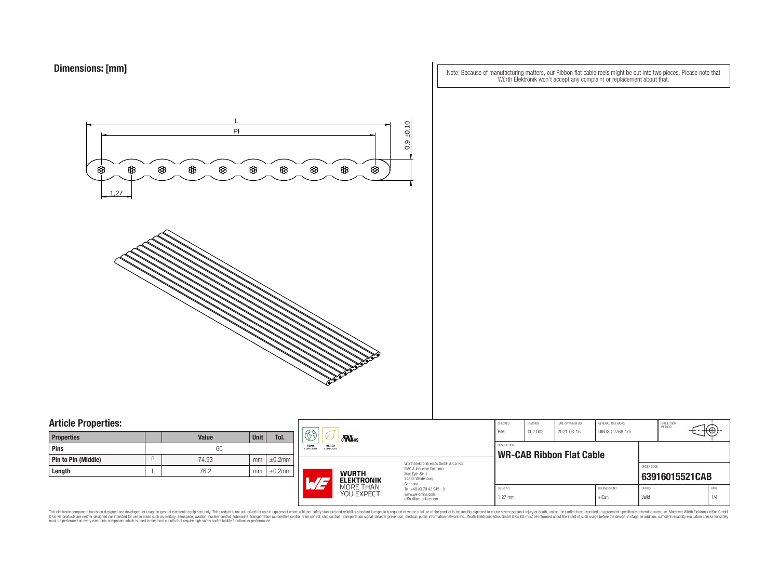Note: Because of manufacturing matters, our Ribbon flat cable reels might be cut into two pieces. Please note that Würth Elektronik won't accept any complaint or replacement about that.



### **Article Properties:**

| <b>Properties</b>   |   | <b>Value</b> | <b>Unit</b> | Tol.         |
|---------------------|---|--------------|-------------|--------------|
| <b>Pins</b>         |   | 60           |             |              |
| Pin to Pin (Middle) | P | 74.93        | mm          | $\pm 0.2$ mm |
| Length              |   | 76.2         | mm          | $\pm 0.2$ mm |

|                                                              | $\mathbb{S}$<br>$\mathbf{M}_{\text{us}}$ |                         |                                                                                   | CHECKED<br>PiM                       | <b>REVISION</b><br>002.002 | DATE (YYYY-MM-DD)<br>2021-03-15 | GENERAL TOLERANCE<br>DIN ISO 2768-1m |                               | PROJECTION<br>METHOD   | ιΨ             |             |
|--------------------------------------------------------------|------------------------------------------|-------------------------|-----------------------------------------------------------------------------------|--------------------------------------|----------------------------|---------------------------------|--------------------------------------|-------------------------------|------------------------|----------------|-------------|
| <b>RoHS</b><br>REACh<br><b>COMPLIANT</b><br><b>COMPLIANT</b> |                                          |                         | <b>DESCRIPTION</b><br><b>WR-CAB Ribbon Flat Cable</b>                             |                                      |                            |                                 |                                      |                               |                        |                |             |
|                                                              | <b>WURTH</b><br><b>ELEKTRONIK</b>        |                         | <b>EMC &amp; Inductive Solutions</b><br>Max-Evth-Str. 1<br>74638 Waldenburg       | Würth Flektronik eiSos GmbH & Co. KG |                            |                                 |                                      |                               | ORDER CODE             | 63916015521CAB |             |
|                                                              | 1.77                                     | MORE THAN<br>YOU EXPECT | Germany<br>Tel. +49 (0) 79 42 945 - 0<br>www.we-online.com<br>eiSos@we-online.com |                                      | SIZE/TYPE<br>$1.27$ mm     |                                 |                                      | <b>BUSINESS UNIT</b><br>eiCan | <b>STATUS</b><br>Valid |                | PAGE<br>1/4 |

This electronic component has been designed and developed for usage in general electronic equipment only. This product is not authorized for subserved requipment where a higher selection equipment where a higher selection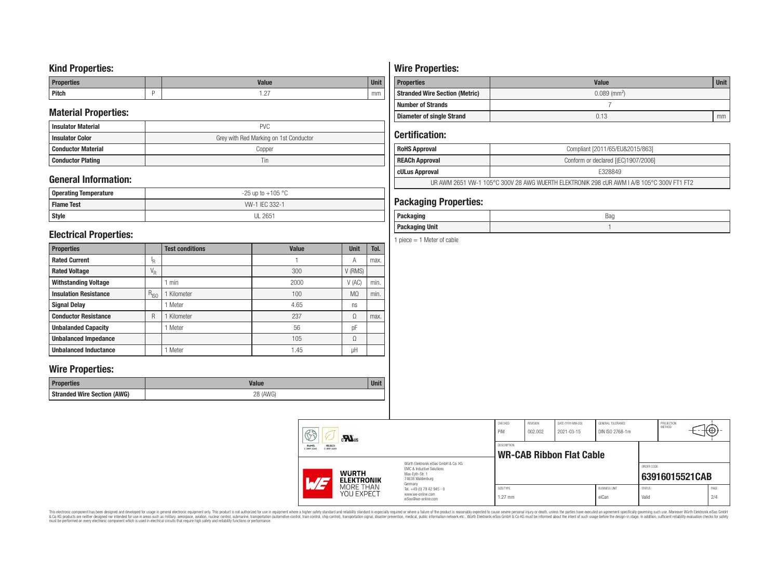## **Kind Properties:**

| <b>Properties</b> | <b>Value</b>                     | $11 - 14$<br>vm |
|-------------------|----------------------------------|-----------------|
| <b>Pitch</b>      | $\sim$<br>$\cdot$ $\sim$ $\cdot$ | mm              |

## **Material Properties:**

| <b>Insulator Material</b> | <b>PVC</b>                             |  |  |  |  |  |
|---------------------------|----------------------------------------|--|--|--|--|--|
| <b>Insulator Color</b>    | Grey with Red Marking on 1st Conductor |  |  |  |  |  |
| <b>Conductor Material</b> | Copper                                 |  |  |  |  |  |
| <b>Conductor Plating</b>  | Tin                                    |  |  |  |  |  |

# **General Information:**

| Operating Temperature | $-25$ up to $+105$ °C |
|-----------------------|-----------------------|
| <b>Flame Test</b>     | W-1 IEC 332-1         |
| <b>Style</b>          | <b>UL 2651</b>        |

## **Electrical Properties:**

| <b>Properties</b>            |                           | <b>Test conditions</b> | <b>Value</b> | <b>Unit</b>    | Tol. |
|------------------------------|---------------------------|------------------------|--------------|----------------|------|
| <b>Rated Current</b>         | ΙŖ.                       |                        |              | Α              | max. |
| <b>Rated Voltage</b>         | $\mathrm{V}_{\mathrm{R}}$ |                        | 300          | V (RMS)        |      |
| <b>Withstanding Voltage</b>  |                           | min                    | 2000         | V(AC)          | min. |
| <b>Insulation Resistance</b> | $R_{ISO}$                 | Kilometer              | 100          | M <sub>0</sub> | min. |
| <b>Signal Delay</b>          |                           | Meter                  | 4.65         | ns             |      |
| <b>Conductor Resistance</b>  | R                         | Kilometer              | 237          | Ω              | max. |
| <b>Unbalanded Capacity</b>   |                           | Meter                  | 56           | pF             |      |
| <b>Unbalanced Impedance</b>  |                           |                        | 105          | Ω              |      |
| <b>Unbalanced Inductance</b> |                           | Meter                  | 1.45         | μH             |      |

## **Wire Properties:**

| Properties                         | <b>Valut</b>   | Unit |
|------------------------------------|----------------|------|
| <b>Stranded Wire Section (AWG)</b> | 28 (AWG)<br>∠∪ |      |

# **Wire Properties:**

| <b>Properties</b>                     | <b>Value</b>               | <b>Unit</b> |
|---------------------------------------|----------------------------|-------------|
| <b>Stranded Wire Section (Metric)</b> | $0.089$ (mm <sup>2</sup> ) |             |
| <b>Number of Strands</b>              |                            |             |
| <b>Diameter of single Strand</b>      | 0.13                       | mm          |

# **Certification:**

| <b>RoHS Approval</b>                                                                      | Compliant [2011/65/EU&2015/863]     |  |  |  |
|-------------------------------------------------------------------------------------------|-------------------------------------|--|--|--|
| REACh Approval                                                                            | Conform or declared [(EC)1907/2006] |  |  |  |
| cULus Approval                                                                            | F328849                             |  |  |  |
| UR AWM 2651 VW-1 105°C 300V 28 AWG WUERTH ELEKTRONIK 298 cUR AWM I A/B 105°C 300V FT1 FT2 |                                     |  |  |  |

# **Packaging Properties:**

| -----<br>rackayıny       | Bag |
|--------------------------|-----|
| <b>Unit</b><br>Packaging |     |

1 piece  $= 1$  Meter of cable

| 63                                             | $c$ <b>N</b> <sub>us</sub>        |                                                                                                                                                                                               | CHECKED<br>PiM         | REVISION<br>002.002 | DATE (YYYY-MM-DD)<br>2021-03-15 | GENERAL TOLERANCE<br>DIN ISO 2768-1m |                        | PROJECTION<br><b>METHOD</b> | ćΦ          |
|------------------------------------------------|-----------------------------------|-----------------------------------------------------------------------------------------------------------------------------------------------------------------------------------------------|------------------------|---------------------|---------------------------------|--------------------------------------|------------------------|-----------------------------|-------------|
| RoHS<br>REACh<br>COMPLIANT<br><b>COMPLIANT</b> |                                   | DESCRIPTION<br><b>WR-CAB Ribbon Flat Cable</b>                                                                                                                                                |                        |                     |                                 |                                      |                        |                             |             |
| $\overline{M}$                                 | <b>WURTH</b><br><b>ELEKTRONIK</b> | Würth Flektronik eiSos GmbH & Co. KG<br>EMC & Inductive Solutions<br>Max-Evth-Str. 1<br>74638 Waldenburg<br>Germany<br>Tel. +49 (0) 79 42 945 - 0<br>www.we-online.com<br>eiSos@we-online.com |                        |                     |                                 |                                      | ORDER CODE             | 63916015521CAB              |             |
|                                                | MORE THAN<br>YOU EXPECT           |                                                                                                                                                                                               | SIZE/TYPE<br>$1.27$ mm |                     |                                 | <b>BUSINESS UNIT</b><br>eiCan        | <b>STATUS</b><br>Valid |                             | PAGE<br>2/4 |

This electronic component has been designed and developed for usage in general electronic equipment only. This product is not authorized for subserved requipment where a higher selection equipment where a higher selection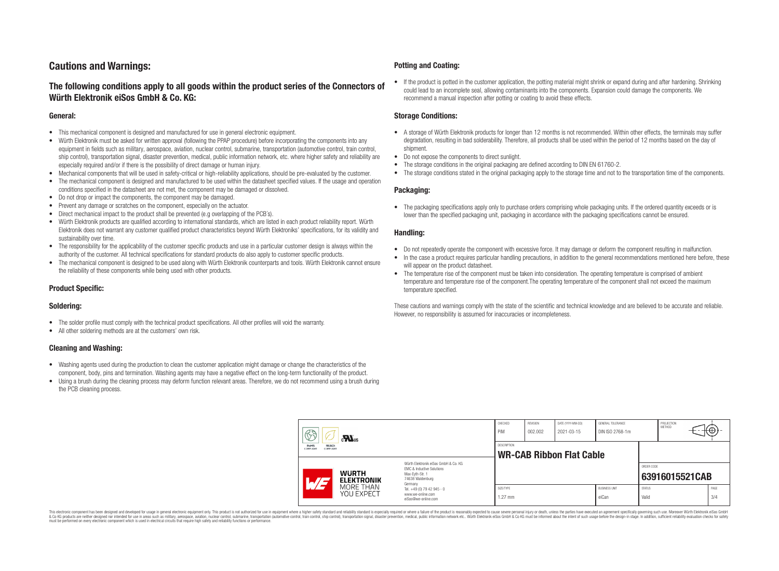# **Cautions and Warnings:**

### **The following conditions apply to all goods within the product series of the Connectors of Würth Elektronik eiSos GmbH & Co. KG:**

#### **General:**

- This mechanical component is designed and manufactured for use in general electronic equipment.
- Würth Elektronik must be asked for written approval (following the PPAP procedure) before incorporating the components into any equipment in fields such as military, aerospace, aviation, nuclear control, submarine, transportation (automotive control, train control, ship control), transportation signal, disaster prevention, medical, public information network, etc. where higher safety and reliability are especially required and/or if there is the possibility of direct damage or human injury.
- Mechanical components that will be used in safety-critical or high-reliability applications, should be pre-evaluated by the customer.
- The mechanical component is designed and manufactured to be used within the datasheet specified values. If the usage and operation conditions specified in the datasheet are not met, the component may be damaged or dissolved.
- Do not drop or impact the components, the component may be damaged.
- Prevent any damage or scratches on the component, especially on the actuator.
- Direct mechanical impact to the product shall be prevented (e.g overlapping of the PCB's).
- Würth Elektronik products are qualified according to international standards, which are listed in each product reliability report. Würth Elektronik does not warrant any customer qualified product characteristics beyond Würth Elektroniks' specifications, for its validity and sustainability over time.
- The responsibility for the applicability of the customer specific products and use in a particular customer design is always within the authority of the customer. All technical specifications for standard products do also apply to customer specific products.
- The mechanical component is designed to be used along with Würth Elektronik counterparts and tools. Würth Elektronik cannot ensure the reliability of these components while being used with other products.

### **Product Specific:**

#### **Soldering:**

- The solder profile must comply with the technical product specifications. All other profiles will void the warranty.
- All other soldering methods are at the customers' own risk.

#### **Cleaning and Washing:**

- Washing agents used during the production to clean the customer application might damage or change the characteristics of the component, body, pins and termination. Washing agents may have a negative effect on the long-term functionality of the product.
- Using a brush during the cleaning process may deform function relevant areas. Therefore, we do not recommend using a brush during the PCB cleaning process.

#### **Potting and Coating:**

• If the product is potted in the customer application, the potting material might shrink or expand during and after hardening. Shrinking could lead to an incomplete seal, allowing contaminants into the components. Expansion could damage the components. We recommend a manual inspection after potting or coating to avoid these effects.

#### **Storage Conditions:**

- A storage of Würth Elektronik products for longer than 12 months is not recommended. Within other effects, the terminals may suffer degradation, resulting in bad solderability. Therefore, all products shall be used within the period of 12 months based on the day of shipment.
- Do not expose the components to direct sunlight.
- The storage conditions in the original packaging are defined according to DIN EN 61760-2.
- The storage conditions stated in the original packaging apply to the storage time and not to the transportation time of the components.

#### **Packaging:**

• The packaging specifications apply only to purchase orders comprising whole packaging units. If the ordered quantity exceeds or is lower than the specified packaging unit, packaging in accordance with the packaging specifications cannot be ensured.

#### **Handling:**

- Do not repeatedly operate the component with excessive force. It may damage or deform the component resulting in malfunction.
- In the case a product requires particular handling precautions, in addition to the general recommendations mentioned here before, these will appear on the product datasheet
- The temperature rise of the component must be taken into consideration. The operating temperature is comprised of ambient temperature and temperature rise of the component.The operating temperature of the component shall not exceed the maximum temperature specified.

These cautions and warnings comply with the state of the scientific and technical knowledge and are believed to be accurate and reliable. However, no responsibility is assumed for inaccuracies or incompleteness.

| 63<br>$\mathbf{M}_{\text{us}}$<br><b>RoHS</b><br><b>REACh</b><br><b>COMPLIANT</b><br>COMPLIANT |                                                                        | CHECKED<br>PiM                                                                                                      | <b>REVISION</b><br>002.002 | DATE (YYYY-MM-DD)<br>2021-03-15 | GENERAL TOLERANCE<br>DIN ISO 2768-1m |                        | PROJECTION<br><b>METHOD</b> |                | €⊕∶         |  |
|------------------------------------------------------------------------------------------------|------------------------------------------------------------------------|---------------------------------------------------------------------------------------------------------------------|----------------------------|---------------------------------|--------------------------------------|------------------------|-----------------------------|----------------|-------------|--|
|                                                                                                |                                                                        | <b>DESCRIPTION</b><br><b>WR-CAB Ribbon Flat Cable</b>                                                               |                            |                                 |                                      |                        |                             |                |             |  |
| <b>WURTH</b><br>AT                                                                             | <b>ELEKTRONIK</b>                                                      | Würth Flektronik eiSos GmbH & Co. KG<br>EMC & Inductive Solutions<br>Max-Evth-Str. 1<br>74638 Waldenburg<br>Germany |                            |                                 |                                      |                        | ORDER CODE                  | 63916015521CAB |             |  |
| MORE THAN<br><b>YOU EXPECT</b>                                                                 | Tel. +49 (0) 79 42 945 - 0<br>www.we-online.com<br>eiSos@we-online.com | SIZE/TYPE<br>$1.27$ mm                                                                                              |                            |                                 | <b>BUSINESS UNIT</b><br>eiCan        | <b>STATUS</b><br>Valid |                             |                | PAGE<br>3/4 |  |

This electronic component has been designed and developed for usage in general electronic equipment only. This product is not authorized for use in equipment where a higher safety standard and reliability standard si espec & Ook product a label and the membed of the seasuch as marked and as which such a membed and the such assume that income in the seasuch and the simulation and the such assume that include to the such a membed and the such